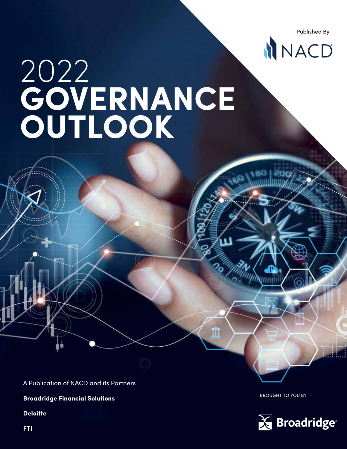Published By



# 2022 **GOVERNANCE OUTLOOK**

A Publication of NACD and its Partners

**Broadridge Financial Solutions**

**Deloitte**

**FTI**

BROUGHT TO YOU BY

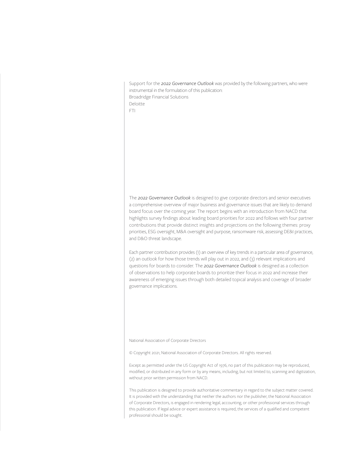Support for the *2022 Governance Outlook* was provided by the following partners, who were instrumental in the formulation of this publication: Broadridge Financial Solutions Deloitte FTI

The *2022 Governance Outlook* is designed to give corporate directors and senior executives a comprehensive overview of major business and governance issues that are likely to demand board focus over the coming year. The report begins with an introduction from NACD that highlights survey findings about leading board priorities for 2022 and follows with four partner contributions that provide distinct insights and projections on the following themes: proxy priorities, ESG oversight, M&A oversight and purpose, ransomware risk, assessing DE&I practices, and D&O threat landscape.

Each partner contribution provides (1) an overview of key trends in a particular area of governance, (2) an outlook for how those trends will play out in 2022, and (3) relevant implications and questions for boards to consider. The *2022 Governance Outlook* is designed as a collection of observations to help corporate boards to prioritize their focus in 2022 and increase their awareness of emerging issues through both detailed topical analysis and coverage of broader governance implications.

National Association of Corporate Directors

© Copyright 2021, National Association of Corporate Directors. All rights reserved.

Except as permitted under the US Copyright Act of 1976, no part of this publication may be reproduced, modified, or distributed in any form or by any means, including, but not limited to, scanning and digitization, without prior written permission from NACD.

This publication is designed to provide authoritative commentary in regard to the subject matter covered. It is provided with the understanding that neither the authors nor the publisher, the National Association of Corporate Directors, is engaged in rendering legal, accounting, or other professional services through this publication. If legal advice or expert assistance is required, the services of a qualified and competent professional should be sought.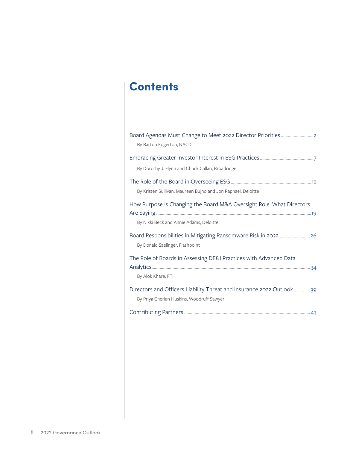## **Contents**

| By Barton Edgerton, NACD                                                                                          |
|-------------------------------------------------------------------------------------------------------------------|
| By Dorothy J. Flynn and Chuck Callan, Broadridge                                                                  |
| By Kristen Sullivan, Maureen Bujno and Jon Raphael, Deloitte                                                      |
| How Purpose Is Changing the Board M&A Oversight Role: What Directors<br>By Nikki Beck and Annie Adams, Deloitte   |
| Board Responsibilities in Mitigating Ransomware Risk in 2022 26<br>By Donald Saelinger, Flashpoint                |
| The Role of Boards in Assessing DE&I Practices with Advanced Data<br>By Alok Khare, FTI                           |
| Directors and Officers Liability Threat and Insurance 2022 Outlook39<br>By Priya Cherian Huskins, Woodruff Sawyer |
|                                                                                                                   |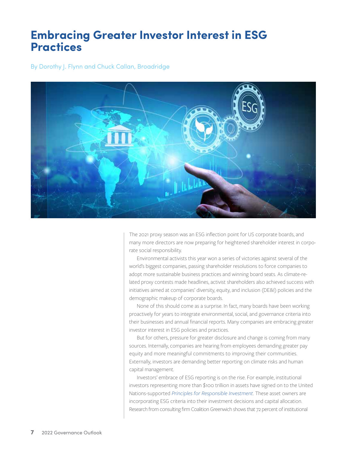### <span id="page-3-0"></span>**Embracing Greater Investor Interest in ESG Practices**

By Dorothy J. Flynn and Chuck Callan, Broadridge



The 2021 proxy season was an ESG inflection point for US corporate boards, and many more directors are now preparing for heightened shareholder interest in corporate social responsibility.

Environmental activists this year won a series of victories against several of the world's biggest companies, passing shareholder resolutions to force companies to adopt more sustainable business practices and winning board seats. As climate-related proxy contests made headlines, activist shareholders also achieved success with initiatives aimed at companies' diversity, equity, and inclusion (DE&I) policies and the demographic makeup of corporate boards.

None of this should come as a surprise. In fact, many boards have been working proactively for years to integrate environmental, social, and governance criteria into their businesses and annual financial reports. Many companies are embracing greater investor interest in ESG policies and practices.

But for others, pressure for greater disclosure and change is coming from many sources. Internally, companies are hearing from employees demanding greater pay equity and more meaningful commitments to improving their communities. Externally, investors are demanding better reporting on climate risks and human capital management.

Investors' embrace of ESG reporting is on the rise. For example, institutional investors representing more than \$100 trillion in assets have signed on to the United Nations-supported *[Principles for Responsible Investment](https://www.unpri.org/pri/what-are-the-principles-for-responsible-investment)*. These asset owners are incorporating ESG criteria into their investment decisions and capital allocation. Research from consulting firm Coalition Greenwich shows that 72 percent of institutional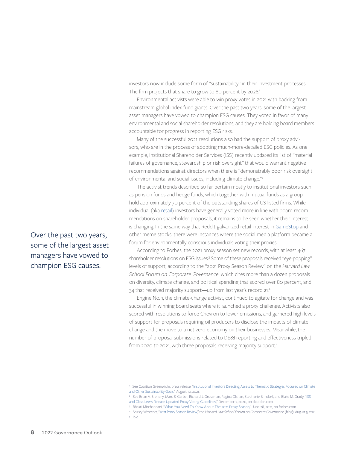investors now include some form of "sustainability" in their investment processes. The firm projects that share to grow to 80 percent by 2026.1

Environmental activists were able to win proxy votes in 2021 with backing from mainstream global index-fund giants. Over the past two years, some of the largest asset managers have vowed to champion ESG causes. They voted in favor of many environmental and social shareholder resolutions, and they are holding board members accountable for progress in reporting ESG risks.

Many of the successful 2021 resolutions also had the support of proxy advisors, who are in the process of adopting much-more-detailed ESG policies. As one example, Institutional Shareholder Services (ISS) recently updated its list of "material failures of governance, stewardship or risk oversight" that would warrant negative recommendations against directors when there is "demonstrably poor risk oversight of environmental and social issues, including climate change."2

The activist trends described so far pertain mostly to institutional investors such as pension funds and hedge funds, which together with mutual funds as a group hold approximately 70 percent of the outstanding shares of US listed firms. While individual (aka [retail\)](https://www.nasdaq.com/articles/who-counts-as-a-retail-investor-2020-12-17) investors have generally voted more in line with board recommendations on shareholder proposals, it remains to be seen whether their interest is changing. In the same way that Reddit galvanized retail interest in [GameStop](https://www.forbes.com/advisor/investing/gamestop-meme-stocks-bb-amc-nok/) and other meme stocks, there were instances where the social media platform became a forum for environmentally conscious individuals voting their proxies.

According to Forbes, the 2021 proxy season set new records, with at least 467 shareholder resolutions on ESG issues.<sup>3</sup> Some of these proposals received "eye-popping" levels of support, according to the "2021 Proxy Season Review" on the *Harvard Law School Forum on Corporate Governance*, which cites more than a dozen proposals on diversity, climate change, and political spending that scored over 80 percent, and 34 that received majority support—up from last year's record 21.4

Engine No. 1, the climate-change activist, continued to agitate for change and was successful in winning board seats where it launched a proxy challenge. Activists also scored with resolutions to force Chevron to lower emissions, and garnered high levels of support for proposals requiring oil producers to disclose the impacts of climate change and the move to a net-zero economy on their businesses. Meanwhile, the number of proposal submissions related to DE&I reporting and effectiveness tripled from 2020 to 2021, with three proposals receiving majority support.5

Over the past two years, some of the largest asset managers have vowed to champion ESG causes.

<sup>1</sup> See Coalition Greenwich's press release, ["Institutional Investors Directing Assets to Thematic Strategies Focused on Climate](https://www.greenwich.com/press-release/institutional-investors-directing-assets-thematic-strategies-focused-climate-and-other)  [and Other Sustainability Goals,](https://www.greenwich.com/press-release/institutional-investors-directing-assets-thematic-strategies-focused-climate-and-other)" August 10, 2021.

<sup>&</sup>lt;sup>2</sup> See Brian V. Breheny, Marc S. Gerber, Richard J. Grossman, Regina Olshan, Stephanie Birndorf, and Blake M. Grady, "ISS [and Glass Lewis Release Updated Proxy Voting Guidelines](https://www.skadden.com/insights/publications/2020/12/iss-and-glass-lewis-release)," December 7, 2020, on skadden.com.

<sup>3</sup> Bhakti Mirchandani, "[What You Need To Know About The 2021 Proxy Season,](https://www.forbes.com/sites/bhaktimirchandani/2021/06/28/what-you-need-to-know-about-the-2021-proxy-season/?sh=a9299147f5e1)" June 28, 2021, on forbes.com.

<sup>4</sup> Shirley Westcott, "[2021 Proxy Season Review,](https://corpgov.law.harvard.edu/2021/08/05/2021-proxy-season-review/)" the *Harvard Law School Forum on Corporate Governance* (blog), August 5, 2021. 5 Ibid.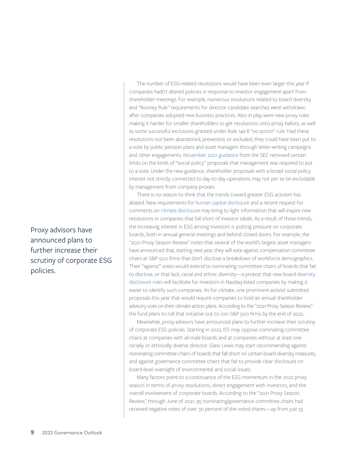The number of ESG-related resolutions would have been even larger this year if companies hadn't altered policies in response to investor engagement apart from shareholder meetings. For example, numerous resolutions related to board diversity and "Rooney Rule" requirements for director candidate searches were withdrawn after companies adopted new business practices. Also in play were new proxy rules making it harder for smaller shareholders to get resolutions onto proxy ballots, as well as some successful exclusions granted under Rule 14a-8 "no action" [rule.](https://www.sullcrom.com/files/upload/sc-publication-2021-Proxy-Season-Review-Part-1-Rule14a-8.pdf) Had these resolutions not been abandoned, prevented, or excluded, they could have been put to a vote by public pension plans and asset managers through letter-writing campaigns and other engagements. [November 2021 guidance](https://www.sec.gov/corpfin/staff-legal-bulletin-14l-shareholder-proposals) from the SEC removed certain limits on the kinds of "social policy" proposals that management was required to put to a vote. Under the new guidance, shareholder proposals with a broad social policy interest not strictly connected to day-to-day operations may not per se be excludable by management from company proxies.

There is no reason to think that the trends toward greater ESG activism has abated. New requirements for [human capital disclosure](https://www.sec.gov/rules/final/2020/33-10825.pdf) and a recent request for comments on [climate disclosure](https://www.sec.gov/comments/climate-disclosure/cll12.htm) may bring to light information that will inspire new resolutions in companies that fall short of investor ideals. As a result of these trends, the increasing interest in ESG among investors is putting pressure on corporate boards, both in annual general meetings and behind closed doors. For example, the "2021 Proxy Season Review" notes that several of the world's largest asset managers have announced that, starting next year, they will vote against compensation committee chairs at S&P 500 firms that don't disclose a breakdown of workforce demographics. Their "against" votes would extend to nominating committee chairs of boards that fail to disclose, or that lack, racial and ethnic diversity—a protest that new board [diversity](https://listingcenter.nasdaq.com/assets/Board%20Diversity%20Disclosure%20Five%20Things.pdf)  [disclosure rules](https://listingcenter.nasdaq.com/assets/Board%20Diversity%20Disclosure%20Five%20Things.pdf) will facilitate for investors in Nasdaq-listed companies by making it easier to identify such companies. As for climate, one prominent activist submitted proposals this year that would require companies to hold an annual shareholder advisory vote on their climate action plans. According to the "2021 Proxy Season Review," the fund plans to roll that initiative out to 100 S&P 500 firms by the end of 2022.

Meanwhile, proxy advisors have announced plans to further increase their scrutiny of corporate ESG policies. Starting in 2022, ISS may oppose nominating committee chairs at companies with all-male boards and at companies without at least one racially or ethnically diverse director. Glass Lewis may start recommending against nominating committee chairs of boards that fall short on certain board diversity measures, and against governance committee chairs that fail to provide clear disclosure on board-level oversight of environmental and social issues.

Many factors point to a continuance of the ESG momentum in the 2022 proxy season in terms of proxy resolutions, direct engagement with investors, and the overall involvement of corporate boards. According to the "2021 Proxy Season Review," through June of 2021, 95 nominating/governance committee chairs had received negative votes of over 30 percent of the voted shares—up from just 55

Proxy advisors have announced plans to further increase their scrutiny of corporate ESG policies.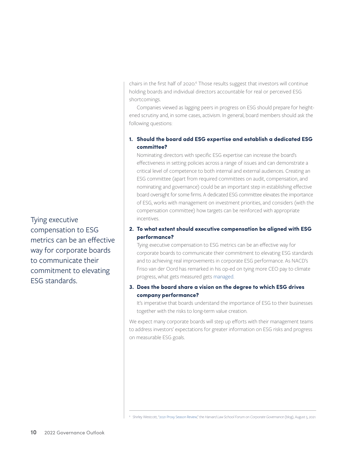chairs in the first half of 2020.<sup>6</sup> Those results suggest that investors will continue holding boards and individual directors accountable for real or perceived ESG shortcomings.

Companies viewed as lagging peers in progress on ESG should prepare for heightened scrutiny and, in some cases, activism. In general, board members should ask the following questions:

#### **1. Should the board add ESG expertise and establish a dedicated ESG committee?**

Nominating directors with specific ESG expertise can increase the board's effectiveness in setting policies across a range of issues and can demonstrate a critical level of competence to both internal and external audiences. Creating an ESG committee (apart from required committees on audit, compensation, and nominating and governance) could be an important step in establishing effective board oversight for some firms. A dedicated ESG committee elevates the importance of ESG, works with management on investment priorities, and considers (with the compensation committee) how targets can be reinforced with appropriate incentives.

#### **2. To what extent should executive compensation be aligned with ESG performance?**

Tying executive compensation to ESG metrics can be an effective way for corporate boards to communicate their commitment to elevating ESG standards and to achieving real improvements in corporate ESG performance. As NACD's Friso van der Oord has remarked in his op-ed on tying more CEO pay to climate progress, what gets measured gets [managed](https://www.cnn.com/2021/08/12/perspectives/climate-carbon-emissions-ceo-pay/index.html).

#### **3. Does the board share a vision on the degree to which ESG drives company performance?**

It's imperative that boards understand the importance of ESG to their businesses together with the risks to long-term value creation.

We expect many corporate boards will step up efforts with their management teams to address investors' expectations for greater information on ESG risks and progress on measurable ESG goals.

Tying executive compensation to ESG metrics can be an effective way for corporate boards to communicate their commitment to elevating ESG standards.

<sup>6</sup> Shirley Westcott, ["2021 Proxy Season Review,](https://corpgov.law.harvard.edu/2021/08/05/2021-proxy-season-review/)" the *Harvard Law School Forum on Corporate Governance* (blog), August 5, 2021.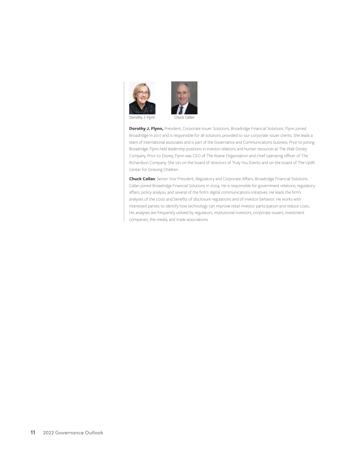



Dorothy J. Flynn Chuck Callan

**Dorothy J. Flynn,** President, Corporate Issuer Solutions, Broadridge Financial Solutions. Flynn joined Broadridge in 2017 and is responsible for all solutions provided to our corporate issuer clients. She leads a team of international associates and is part of the Governance and Communications business. Prior to joining Broadridge, Flynn held leadership positions in investor relations and human resources at The Walt Disney Company. Prior to Disney, Flynn was CEO of The Keane Organization and chief operating officer of The Richardson Company. She sits on the board of directors of Truly You Events and on the board of The Uplift Center for Grieving Children.

**Chuck Callan**, Senior Vice President, Regulatory and Corporate Affairs, Broadridge Financial Solutions. Callan joined Broadridge Financial Solutions in 2004. He is responsible for government relations, regulatory affairs, policy analysis, and several of the firm's digital communications initiatives. He leads the firm's analyses of the costs and benefits of disclosure regulations and of investor behavior. He works with interested parties to identify how technology can improve retail investor participation and reduce costs. His analyses are frequently utilized by regulators, institutional investors, corporate issuers, investment companies, the media, and trade associations.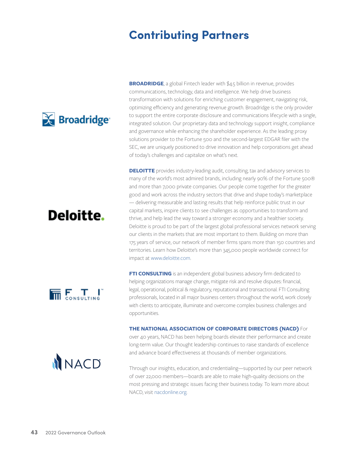## <span id="page-8-0"></span>**Contributing Partners**



**BROADRIDGE**, a global Fintech leader with \$4.5 billion in revenue, provides communications, technology, data and intelligence. We help drive business transformation with solutions for enriching customer engagement, navigating risk, optimizing efficiency and generating revenue growth. Broadridge is the only provider to support the entire corporate disclosure and communications lifecycle with a single, integrated solution. Our proprietary data and technology support insight, compliance and governance while enhancing the shareholder experience. As the leading proxy solutions provider to the Fortune 500 and the second-largest EDGAR filer with the SEC, we are uniquely positioned to drive innovation and help corporations get ahead of today's challenges and capitalize on what's next.

**DELOITTE** provides industry-leading audit, consulting, tax and advisory services to many of the world's most admired brands, including nearly 90% of the Fortune 500® and more than 7,000 private companies. Our people come together for the greater good and work across the industry sectors that drive and shape today's marketplace — delivering measurable and lasting results that help reinforce public trust in our capital markets, inspire clients to see challenges as opportunities to transform and thrive, and help lead the way toward a stronger economy and a healthier society. Deloitte is proud to be part of the largest global professional services network serving our clients in the markets that are most important to them. Building on more than 175 years of service, our network of member firms spans more than 150 countries and territories. Learn how Deloitte's more than 345,000 people worldwide connect for impact at [www.deloitte.com.](www.deloitte.com)

**FTI CONSULTING** is an independent global business advisory firm dedicated to helping organizations manage change, mitigate risk and resolve disputes: financial, legal, operational, political & regulatory, reputational and transactional. FTI Consulting professionals, located in all major business centers throughout the world, work closely with clients to anticipate, illuminate and overcome complex business challenges and opportunities.

#### **THE NATIONAL ASSOCIATION OF CORPORATE DIRECTORS (NACD)** For

over 40 years, NACD has been helping boards elevate their performance and create long-term value. Our thought leadership continues to raise standards of excellence and advance board effectiveness at thousands of member organizations.

Through our insights, education, and credentialing—supported by our peer network of over 22,000 members—boards are able to make high-quality decisions on the most pressing and strategic issues facing their business today. To learn more about NACD, visit [nacdonline.org.](nacdonline.org)

## Deloitte.